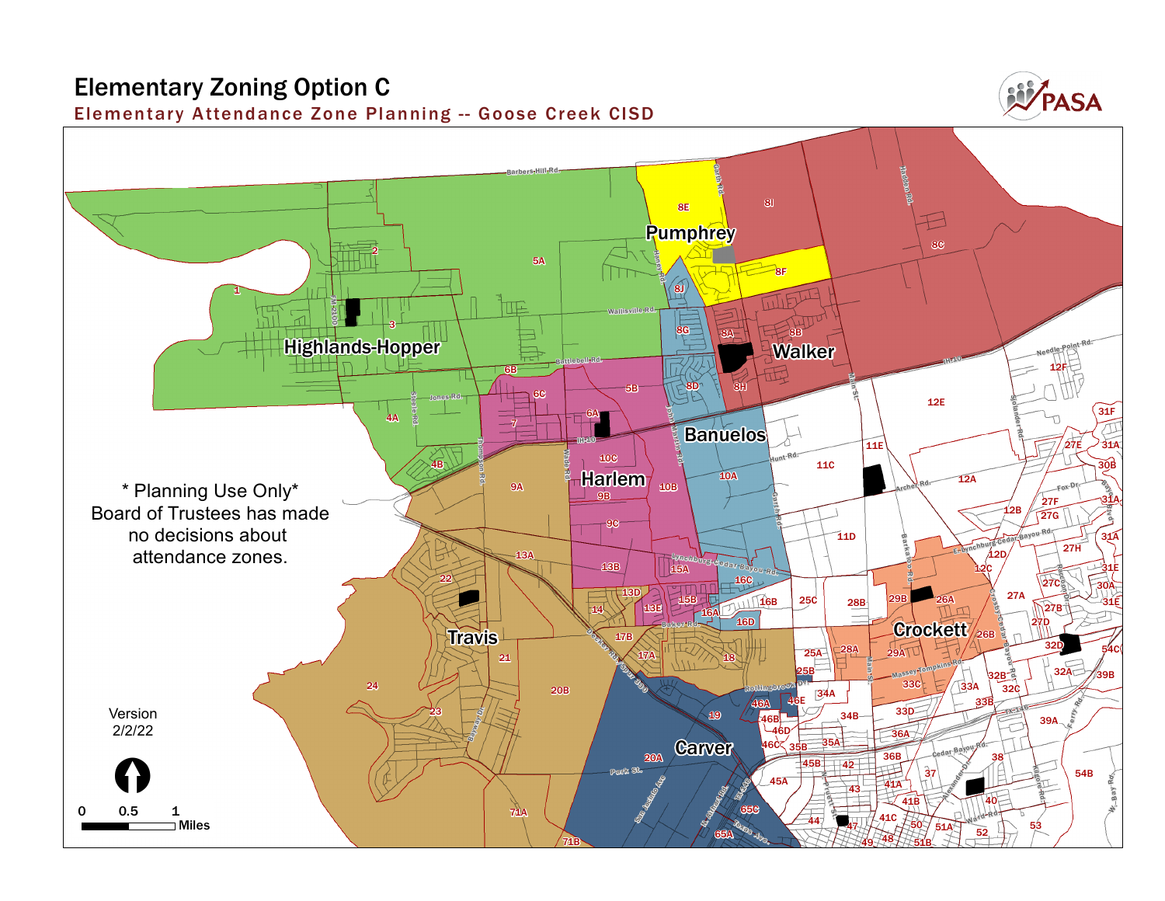## **Elementary Zoning Option C**

**Elementar y Attendance Zone Planning -- Goose Creek CISD**